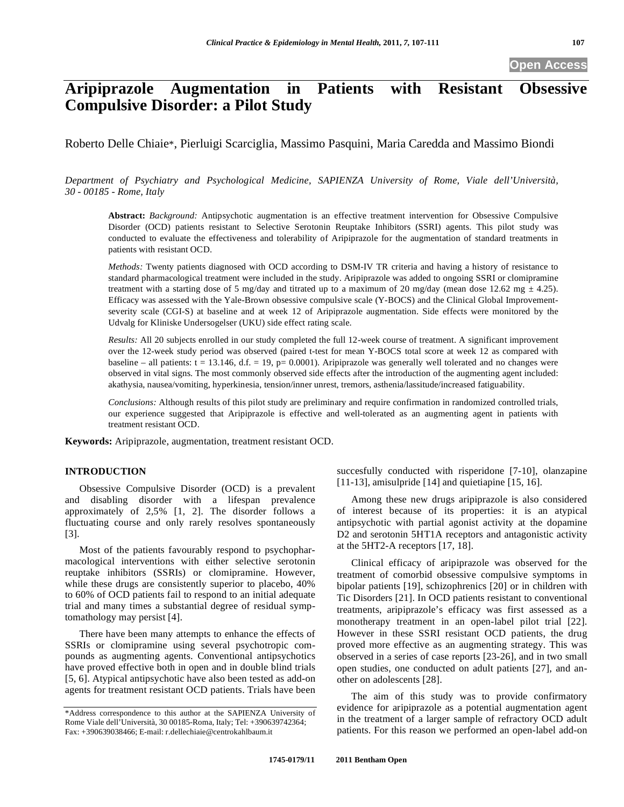# **Aripiprazole Augmentation in Patients with Resistant Obsessive Compulsive Disorder: a Pilot Study**

Roberto Delle Chiaie\*, Pierluigi Scarciglia, Massimo Pasquini, Maria Caredda and Massimo Biondi

*Department of Psychiatry and Psychological Medicine, SAPIENZA University of Rome, Viale dell'Università, 30 - 00185 - Rome, Italy* 

**Abstract:** *Background:* Antipsychotic augmentation is an effective treatment intervention for Obsessive Compulsive Disorder (OCD) patients resistant to Selective Serotonin Reuptake Inhibitors (SSRI) agents. This pilot study was conducted to evaluate the effectiveness and tolerability of Aripiprazole for the augmentation of standard treatments in patients with resistant OCD.

*Methods:* Twenty patients diagnosed with OCD according to DSM-IV TR criteria and having a history of resistance to standard pharmacological treatment were included in the study. Aripiprazole was added to ongoing SSRI or clomipramine treatment with a starting dose of 5 mg/day and titrated up to a maximum of 20 mg/day (mean dose 12.62 mg  $\pm$  4.25). Efficacy was assessed with the Yale-Brown obsessive compulsive scale (Y-BOCS) and the Clinical Global Improvementseverity scale (CGI-S) at baseline and at week 12 of Aripiprazole augmentation. Side effects were monitored by the Udvalg for Kliniske Undersogelser (UKU) side effect rating scale.

*Results:* All 20 subjects enrolled in our study completed the full 12-week course of treatment. A significant improvement over the 12-week study period was observed (paired t-test for mean Y-BOCS total score at week 12 as compared with baseline – all patients:  $t = 13.146$ ,  $d.f. = 19$ ,  $p = 0.0001$ ). Aripiprazole was generally well tolerated and no changes were observed in vital signs. The most commonly observed side effects after the introduction of the augmenting agent included: akathysia, nausea/vomiting, hyperkinesia, tension/inner unrest, tremors, asthenia/lassitude/increased fatiguability.

*Conclusions:* Although results of this pilot study are preliminary and require confirmation in randomized controlled trials, our experience suggested that Aripiprazole is effective and well-tolerated as an augmenting agent in patients with treatment resistant OCD.

**Keywords:** Aripiprazole, augmentation, treatment resistant OCD.

# **INTRODUCTION**

Obsessive Compulsive Disorder (OCD) is a prevalent and disabling disorder with a lifespan prevalence approximately of 2,5% [1, 2]. The disorder follows a fluctuating course and only rarely resolves spontaneously [3].

Most of the patients favourably respond to psychopharmacological interventions with either selective serotonin reuptake inhibitors (SSRIs) or clomipramine. However, while these drugs are consistently superior to placebo, 40% to 60% of OCD patients fail to respond to an initial adequate trial and many times a substantial degree of residual symptomathology may persist [4].

There have been many attempts to enhance the effects of SSRIs or clomipramine using several psychotropic compounds as augmenting agents. Conventional antipsychotics have proved effective both in open and in double blind trials [5, 6]. Atypical antipsychotic have also been tested as add-on agents for treatment resistant OCD patients. Trials have been

succesfully conducted with risperidone [7-10], olanzapine [11-13], amisulpride [14] and quietiapine [15, 16].

Among these new drugs aripiprazole is also considered of interest because of its properties: it is an atypical antipsychotic with partial agonist activity at the dopamine D2 and serotonin 5HT1A receptors and antagonistic activity at the 5HT2-A receptors [17, 18].

Clinical efficacy of aripiprazole was observed for the treatment of comorbid obsessive compulsive symptoms in bipolar patients [19], schizophrenics [20] or in children with Tic Disorders [21]. In OCD patients resistant to conventional treatments, aripiprazole's efficacy was first assessed as a monotherapy treatment in an open-label pilot trial [22]. However in these SSRI resistant OCD patients, the drug proved more effective as an augmenting strategy. This was observed in a series of case reports [23-26], and in two small open studies, one conducted on adult patients [27], and another on adolescents [28].

The aim of this study was to provide confirmatory evidence for aripiprazole as a potential augmentation agent in the treatment of a larger sample of refractory OCD adult patients. For this reason we performed an open-label add-on

<sup>\*</sup>Address correspondence to this author at the SAPIENZA University of Rome Viale dell'Università, 30 00185-Roma, Italy; Tel: +390639742364; Fax: +390639038466; E-mail: r.dellechiaie@centrokahlbaum.it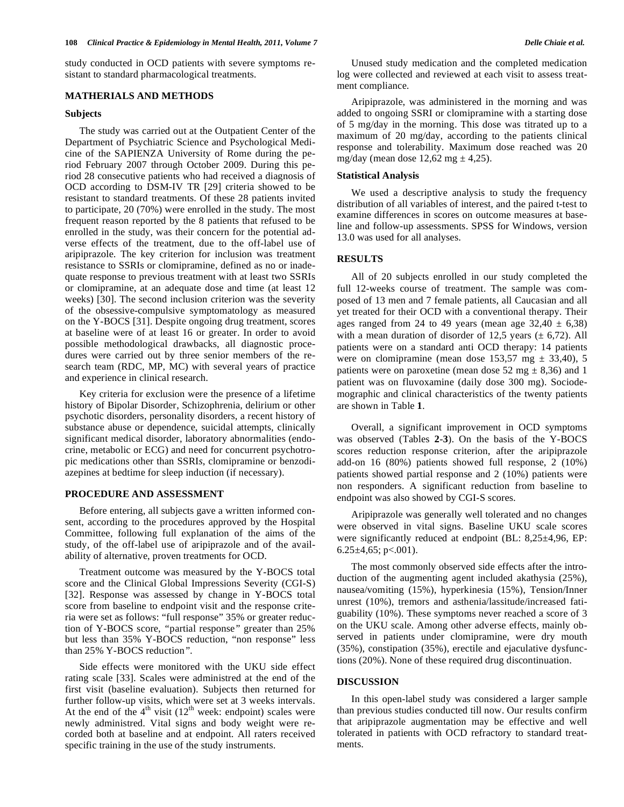study conducted in OCD patients with severe symptoms resistant to standard pharmacological treatments.

# **MATHERIALS AND METHODS**

## **Subjects**

The study was carried out at the Outpatient Center of the Department of Psychiatric Science and Psychological Medicine of the SAPIENZA University of Rome during the period February 2007 through October 2009. During this period 28 consecutive patients who had received a diagnosis of OCD according to DSM-IV TR [29] criteria showed to be resistant to standard treatments. Of these 28 patients invited to participate, 20 (70%) were enrolled in the study. The most frequent reason reported by the 8 patients that refused to be enrolled in the study, was their concern for the potential adverse effects of the treatment, due to the off-label use of aripiprazole. The key criterion for inclusion was treatment resistance to SSRIs or clomipramine, defined as no or inadequate response to previous treatment with at least two SSRIs or clomipramine, at an adequate dose and time (at least 12 weeks) [30]. The second inclusion criterion was the severity of the obsessive-compulsive symptomatology as measured on the Y-BOCS [31]. Despite ongoing drug treatment, scores at baseline were of at least 16 or greater. In order to avoid possible methodological drawbacks, all diagnostic procedures were carried out by three senior members of the research team (RDC, MP, MC) with several years of practice and experience in clinical research.

Key criteria for exclusion were the presence of a lifetime history of Bipolar Disorder, Schizophrenia, delirium or other psychotic disorders, personality disorders, a recent history of substance abuse or dependence, suicidal attempts, clinically significant medical disorder, laboratory abnormalities (endocrine, metabolic or ECG) and need for concurrent psychotropic medications other than SSRI*s*, clomipramine or benzodiazepines at bedtime for sleep induction (if necessary).

## **PROCEDURE AND ASSESSMENT**

Before entering, all subjects gave a written informed consent, according to the procedures approved by the Hospital Committee, following full explanation of the aims of the study, of the off-label use of aripiprazole and of the availability of alternative, proven treatments for OCD.

Treatment outcome was measured by the Y-BOCS total score and the Clinical Global Impressions Severity (CGI-S) [32]. Response was assessed by change in Y-BOCS total score from baseline to endpoint visit and the response criteria were set as follows: "full response" 35% or greater reduction of Y-BOCS score, *"*partial response*"* greater than 25% but less than 35% Y-BOCS reduction, "non response" less than 25% Y-BOCS reduction*".*

Side effects were monitored with the UKU side effect rating scale [33]. Scales were administred at the end of the first visit (baseline evaluation). Subjects then returned for further follow-up visits, which were set at 3 weeks intervals. At the end of the  $4<sup>th</sup>$  visit (12<sup>th</sup> week: endpoint) scales were newly administred. Vital signs and body weight were recorded both at baseline and at endpoint. All raters received specific training in the use of the study instruments.

Unused study medication and the completed medication log were collected and reviewed at each visit to assess treatment compliance.

Aripiprazole, was administered in the morning and was added to ongoing SSRI or clomipramine with a starting dose of 5 mg/day in the morning. This dose was titrated up to a maximum of 20 mg/day, according to the patients clinical response and tolerability. Maximum dose reached was 20 mg/day (mean dose  $12,62$  mg  $\pm$  4,25).

#### **Statistical Analysis**

We used a descriptive analysis to study the frequency distribution of all variables of interest, and the paired t-test to examine differences in scores on outcome measures at baseline and follow-up assessments. SPSS for Windows, version 13.0 was used for all analyses.

## **RESULTS**

All of 20 subjects enrolled in our study completed the full 12-weeks course of treatment. The sample was composed of 13 men and 7 female patients, all Caucasian and all yet treated for their OCD with a conventional therapy. Their ages ranged from 24 to 49 years (mean age  $32,40 \pm 6,38$ ) with a mean duration of disorder of 12,5 years  $(\pm 6,72)$ . All patients were on a standard anti OCD therapy: 14 patients were on clomipramine (mean dose  $153,57$  mg  $\pm 33,40$ ), 5 patients were on paroxetine (mean dose 52 mg  $\pm$  8,36) and 1 patient was on fluvoxamine (daily dose 300 mg). Sociodemographic and clinical characteristics of the twenty patients are shown in Table **1**.

Overall, a significant improvement in OCD symptoms was observed (Tables **2**-**3**). On the basis of the Y-BOCS scores reduction response criterion, after the aripiprazole add-on 16 (80%) patients showed full response, 2 (10%) patients showed partial response and 2 (10%) patients were non responders. A significant reduction from baseline to endpoint was also showed by CGI-S scores.

Aripiprazole was generally well tolerated and no changes were observed in vital signs. Baseline UKU scale scores were significantly reduced at endpoint (BL: 8,25 $\pm$ 4,96, EP:  $6.25 \pm 4,65$ ; p<.001).

The most commonly observed side effects after the introduction of the augmenting agent included akathysia (25%), nausea/vomiting (15%), hyperkinesia (15%), Tension/Inner unrest (10%), tremors and asthenia/lassitude/increased fatiguability (10%). These symptoms never reached a score of 3 on the UKU scale. Among other adverse effects, mainly observed in patients under clomipramine, were dry mouth (35%), constipation (35%), erectile and ejaculative dysfunctions (20%). None of these required drug discontinuation.

#### **DISCUSSION**

In this open-label study was considered a larger sample than previous studies conducted till now. Our results confirm that aripiprazole augmentation may be effective and well tolerated in patients with OCD refractory to standard treatments.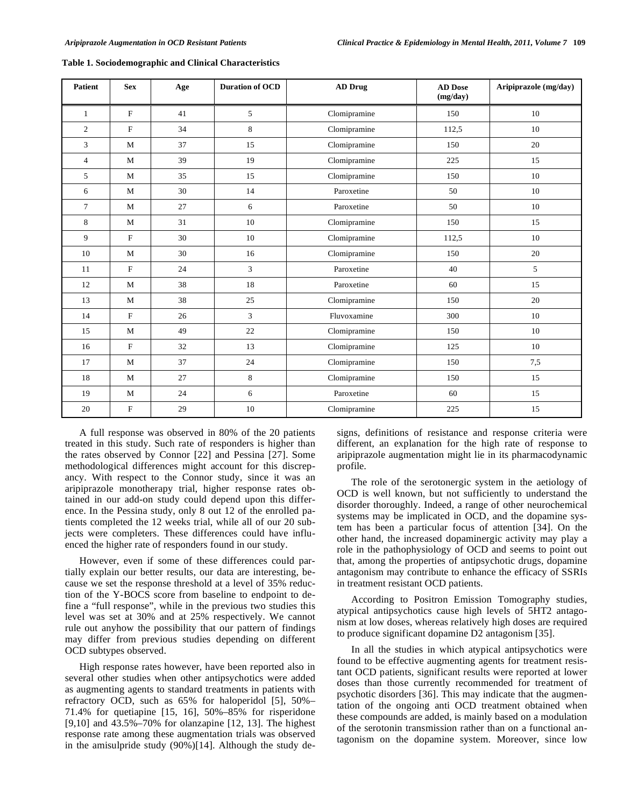| <b>Patient</b> | <b>Sex</b>   | Age | <b>Duration of OCD</b> | <b>AD Drug</b> | <b>AD</b> Dose<br>(mg/day) |     |
|----------------|--------------|-----|------------------------|----------------|----------------------------|-----|
| $\mathbf{1}$   | $\mathbf F$  | 41  | 5                      | Clomipramine   | 150                        | 10  |
| $\overline{2}$ | $\mathbf F$  | 34  | 8                      | Clomipramine   | 112,5                      | 10  |
| 3              | M            | 37  | 15                     | Clomipramine   | 150                        | 20  |
| $\overline{4}$ | M            | 39  | 19                     | Clomipramine   | 225                        | 15  |
| 5              | M            | 35  | 15                     | Clomipramine   | 150                        | 10  |
| 6              | M            | 30  | 14                     | Paroxetine     | 50                         | 10  |
| $\overline{7}$ | M            | 27  | 6                      | Paroxetine     | 50                         | 10  |
| 8              | $\mathbf{M}$ | 31  | 10                     | Clomipramine   | 150                        | 15  |
| 9              | $\mathbf F$  | 30  | 10                     | Clomipramine   | 112,5                      | 10  |
| 10             | M            | 30  | 16                     | Clomipramine   | 150                        | 20  |
| 11             | F            | 24  | 3                      | Paroxetine     | 40                         | 5   |
| 12             | M            | 38  | 18                     | Paroxetine     | 60                         | 15  |
| 13             | M            | 38  | 25                     | Clomipramine   | 150                        | 20  |
| 14             | $\mathbf{F}$ | 26  | 3                      | Fluvoxamine    | 300                        | 10  |
| 15             | M            | 49  | 22                     | Clomipramine   | 150                        | 10  |
| 16             | $\mathbf F$  | 32  | 13                     | Clomipramine   | 125                        | 10  |
| 17             | M            | 37  | 24                     | Clomipramine   | 150                        | 7,5 |
| 18             | $\mathbf M$  | 27  | 8                      | Clomipramine   | 150                        | 15  |
| 19             | M            | 24  | 6                      | Paroxetine     | 60                         | 15  |
| 20             | $\mathbf F$  | 29  | 10                     | Clomipramine   | 225                        | 15  |

**Table 1. Sociodemographic and Clinical Characteristics** 

A full response was observed in 80% of the 20 patients treated in this study. Such rate of responders is higher than the rates observed by Connor [22] and Pessina [27]. Some methodological differences might account for this discrepancy. With respect to the Connor study, since it was an aripiprazole monotherapy trial, higher response rates obtained in our add-on study could depend upon this difference. In the Pessina study, only 8 out 12 of the enrolled patients completed the 12 weeks trial, while all of our 20 subjects were completers. These differences could have influenced the higher rate of responders found in our study.

However, even if some of these differences could partially explain our better results, our data are interesting, because we set the response threshold at a level of 35% reduction of the Y-BOCS score from baseline to endpoint to define a "full response", while in the previous two studies this level was set at 30% and at 25% respectively. We cannot rule out anyhow the possibility that our pattern of findings may differ from previous studies depending on different OCD subtypes observed.

High response rates however, have been reported also in several other studies when other antipsychotics were added as augmenting agents to standard treatments in patients with refractory OCD, such as 65% for haloperidol [5], 50%– 71.4% for quetiapine [15, 16], 50%–85% for risperidone [9,10] and 43.5%–70% for olanzapine [12, 13]. The highest response rate among these augmentation trials was observed in the amisulpride study (90%)[14]. Although the study designs, definitions of resistance and response criteria were different, an explanation for the high rate of response to aripiprazole augmentation might lie in its pharmacodynamic profile.

The role of the serotonergic system in the aetiology of OCD is well known, but not sufficiently to understand the disorder thoroughly. Indeed, a range of other neurochemical systems may be implicated in OCD, and the dopamine system has been a particular focus of attention [34]. On the other hand, the increased dopaminergic activity may play a role in the pathophysiology of OCD and seems to point out that, among the properties of antipsychotic drugs, dopamine antagonism may contribute to enhance the efficacy of SSRIs in treatment resistant OCD patients.

According to Positron Emission Tomography studies, atypical antipsychotics cause high levels of 5HT2 antagonism at low doses, whereas relatively high doses are required to produce significant dopamine D2 antagonism [35].

In all the studies in which atypical antipsychotics were found to be effective augmenting agents for treatment resistant OCD patients, significant results were reported at lower doses than those currently recommended for treatment of psychotic disorders [36]. This may indicate that the augmentation of the ongoing anti OCD treatment obtained when these compounds are added, is mainly based on a modulation of the serotonin transmission rather than on a functional antagonism on the dopamine system. Moreover, since low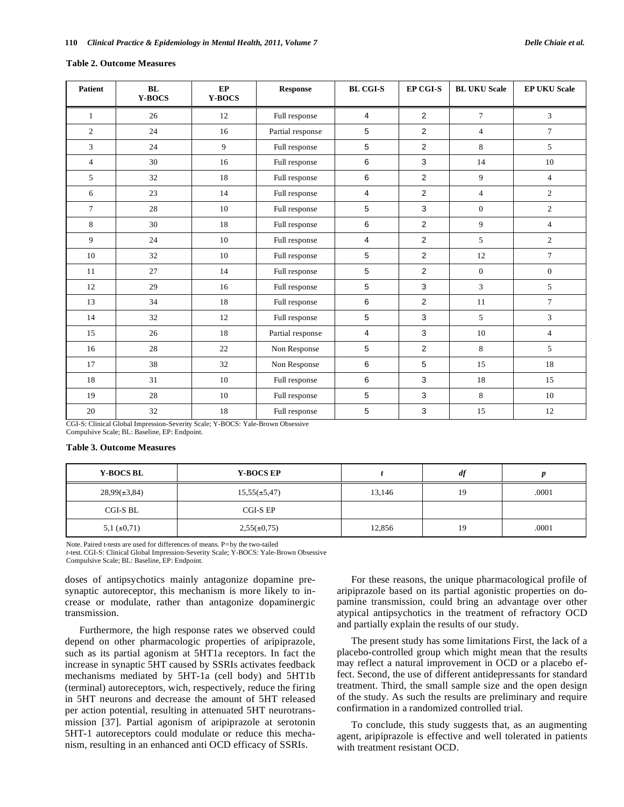#### **Table 2. Outcome Measures**

| <b>Patient</b> | BL<br><b>Y-BOCS</b> | EP<br>Y-BOCS       | <b>Response</b>  | <b>BL CGI-S</b> | EP CGI-S       | <b>BL UKU Scale</b> | <b>EP UKU Scale</b> |
|----------------|---------------------|--------------------|------------------|-----------------|----------------|---------------------|---------------------|
| $\mathbf{1}$   | 26                  | 12                 | Full response    | 4               | $\overline{2}$ | $\overline{7}$      | 3                   |
| $\mathfrak{2}$ | 24                  | 16                 | Partial response | 5               | $\overline{2}$ | $\overline{4}$      | $\tau$              |
| 3              | 24                  | 9                  | Full response    | 5               | $\overline{2}$ | 8                   | 5                   |
| $\overline{4}$ | 30                  | 16                 | Full response    | 6               | 3              | 14                  | 10                  |
| 5              | 32                  | 18                 | Full response    | 6               | $\overline{2}$ | 9                   | $\overline{4}$      |
| 6              | 23                  | 14                 | Full response    | $\overline{4}$  | $\overline{2}$ | $\overline{4}$      | $\overline{2}$      |
| $\tau$         | 28                  | 10                 | Full response    | 5               | 3              | $\mathbf{0}$        | $\overline{c}$      |
| 8              | 30                  | 18                 | Full response    | 6               | $\overline{2}$ | 9                   | $\overline{4}$      |
| 9              | 24                  | 10                 | Full response    | 4               | $\overline{2}$ | 5                   | $\overline{2}$      |
| 10             | 32                  | 10                 | Full response    | 5               | $\overline{2}$ | 12                  | $\tau$              |
| 11             | 27                  | 14                 | Full response    | 5               | 2              | $\mathbf{0}$        | $\mathbf{0}$        |
| 12             | 29                  | 16                 | Full response    | 5               | 3              | 3                   | 5                   |
| 13             | 34                  | 18                 | Full response    | 6               | $\overline{2}$ | 11                  | $\overline{7}$      |
| 14             | 32                  | 12                 | Full response    | 5               | 3              | 5                   | 3                   |
| 15             | 26                  | 18                 | Partial response | $\overline{4}$  | 3              | 10                  | $\overline{4}$      |
| 16             | 28                  | 22                 | Non Response     | 5               | $\overline{2}$ | 8                   | 5                   |
| 17             | 38                  | 32                 | Non Response     | 6               | 5              | 15                  | 18                  |
| 18             | 31                  | 10                 | Full response    | 6               | 3              | 18                  | 15                  |
| 19             | 28                  | 10                 | Full response    | 5               | 3              | 8                   | 10                  |
| 20             | 32<br>1.011         | 18<br>$\mathbf{v}$ | Full response    | 5               | 3              | 15                  | 12                  |

CGI-S: Clinical Global Impression-Severity Scale; Y-BOCS: Yale-Brown Obsessive Compulsive Scale; BL: Baseline, EP: Endpoint.

#### **Table 3. Outcome Measures**

| <b>Y-BOCS BL</b>   | <b>Y-BOCS EP</b>  |        | a1 |       |
|--------------------|-------------------|--------|----|-------|
| $28,99(\pm 3,84)$  | $15,55(\pm 5,47)$ | 13,146 | 19 | .0001 |
| CGI-S BL           | CGI-S EP          |        |    |       |
| $5,1 \ (\pm 0,71)$ | $2,55(\pm 0,75)$  | 12,856 | 19 | .0001 |

Note. Paired t-tests are used for differences of means. P*=*by the two-tailed

*t*-test. CGI-S: Clinical Global Impression-Severity Scale; Y-BOCS: Yale-Brown Obsessive Compulsive Scale; BL: Baseline, EP: Endpoint.

doses of antipsychotics mainly antagonize dopamine presynaptic autoreceptor, this mechanism is more likely to increase or modulate, rather than antagonize dopaminergic transmission.

Furthermore, the high response rates we observed could depend on other pharmacologic properties of aripiprazole, such as its partial agonism at 5HT1a receptors. In fact the increase in synaptic 5HT caused by SSRIs activates feedback mechanisms mediated by 5HT-1a (cell body) and 5HT1b (terminal) autoreceptors, wich, respectively, reduce the firing in 5HT neurons and decrease the amount of 5HT released per action potential, resulting in attenuated 5HT neurotransmission [37]. Partial agonism of aripiprazole at serotonin 5HT-1 autoreceptors could modulate or reduce this mechanism, resulting in an enhanced anti OCD efficacy of SSRIs.

For these reasons, the unique pharmacological profile of aripiprazole based on its partial agonistic properties on dopamine transmission, could bring an advantage over other atypical antipsychotics in the treatment of refractory OCD and partially explain the results of our study.

The present study has some limitations First, the lack of a placebo-controlled group which might mean that the results may reflect a natural improvement in OCD or a placebo effect. Second, the use of different antidepressants for standard treatment. Third, the small sample size and the open design of the study. As such the results are preliminary and require confirmation in a randomized controlled trial.

To conclude, this study suggests that, as an augmenting agent, aripiprazole is effective and well tolerated in patients with treatment resistant OCD.